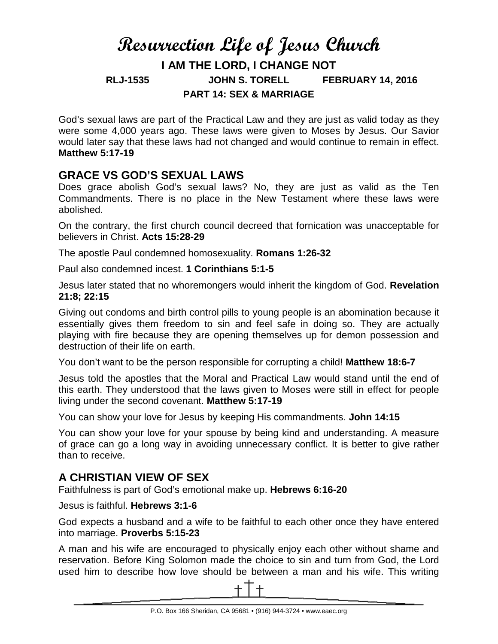# **Resurrection Life of Jesus Church I AM THE LORD, I CHANGE NOT RLJ-1535 JOHN S. TORELL FEBRUARY 14, 2016 PART 14: SEX & MARRIAGE**

God's sexual laws are part of the Practical Law and they are just as valid today as they were some 4,000 years ago. These laws were given to Moses by Jesus. Our Savior would later say that these laws had not changed and would continue to remain in effect. **Matthew 5:17-19**

### **GRACE VS GOD'S SEXUAL LAWS**

Does grace abolish God's sexual laws? No, they are just as valid as the Ten Commandments. There is no place in the New Testament where these laws were abolished.

On the contrary, the first church council decreed that fornication was unacceptable for believers in Christ. **Acts 15:28-29**

The apostle Paul condemned homosexuality. **Romans 1:26-32**

Paul also condemned incest. **1 Corinthians 5:1-5**

Jesus later stated that no whoremongers would inherit the kingdom of God. **Revelation 21:8; 22:15**

Giving out condoms and birth control pills to young people is an abomination because it essentially gives them freedom to sin and feel safe in doing so. They are actually playing with fire because they are opening themselves up for demon possession and destruction of their life on earth.

You don't want to be the person responsible for corrupting a child! **Matthew 18:6-7**

Jesus told the apostles that the Moral and Practical Law would stand until the end of this earth. They understood that the laws given to Moses were still in effect for people living under the second covenant. **Matthew 5:17-19**

You can show your love for Jesus by keeping His commandments. **John 14:15**

You can show your love for your spouse by being kind and understanding. A measure of grace can go a long way in avoiding unnecessary conflict. It is better to give rather than to receive.

# **A CHRISTIAN VIEW OF SEX**

Faithfulness is part of God's emotional make up. **Hebrews 6:16-20**

Jesus is faithful. **Hebrews 3:1-6**

God expects a husband and a wife to be faithful to each other once they have entered into marriage. **Proverbs 5:15-23**

A man and his wife are encouraged to physically enjoy each other without shame and reservation. Before King Solomon made the choice to sin and turn from God, the Lord used him to describe how love should be between a man and his wife. This writing

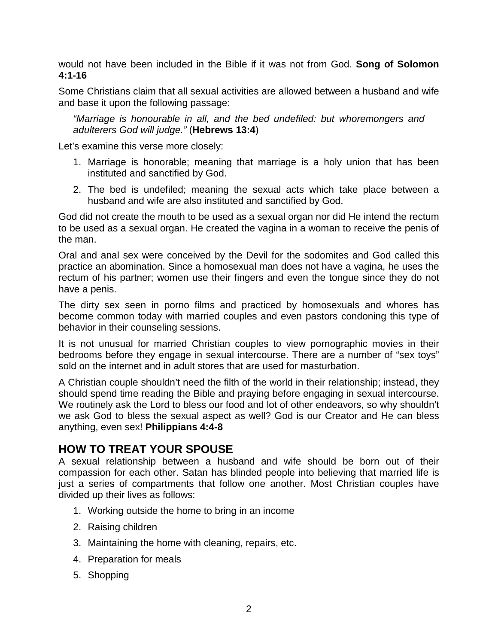would not have been included in the Bible if it was not from God. **Song of Solomon 4:1-16**

Some Christians claim that all sexual activities are allowed between a husband and wife and base it upon the following passage:

*"Marriage is honourable in all, and the bed undefiled: but whoremongers and adulterers God will judge."* (**Hebrews 13:4**)

Let's examine this verse more closely:

- 1. Marriage is honorable; meaning that marriage is a holy union that has been instituted and sanctified by God.
- 2. The bed is undefiled; meaning the sexual acts which take place between a husband and wife are also instituted and sanctified by God.

God did not create the mouth to be used as a sexual organ nor did He intend the rectum to be used as a sexual organ. He created the vagina in a woman to receive the penis of the man.

Oral and anal sex were conceived by the Devil for the sodomites and God called this practice an abomination. Since a homosexual man does not have a vagina, he uses the rectum of his partner; women use their fingers and even the tongue since they do not have a penis.

The dirty sex seen in porno films and practiced by homosexuals and whores has become common today with married couples and even pastors condoning this type of behavior in their counseling sessions.

It is not unusual for married Christian couples to view pornographic movies in their bedrooms before they engage in sexual intercourse. There are a number of "sex toys" sold on the internet and in adult stores that are used for masturbation.

A Christian couple shouldn't need the filth of the world in their relationship; instead, they should spend time reading the Bible and praying before engaging in sexual intercourse. We routinely ask the Lord to bless our food and lot of other endeavors, so why shouldn't we ask God to bless the sexual aspect as well? God is our Creator and He can bless anything, even sex! **Philippians 4:4-8**

#### **HOW TO TREAT YOUR SPOUSE**

A sexual relationship between a husband and wife should be born out of their compassion for each other. Satan has blinded people into believing that married life is just a series of compartments that follow one another. Most Christian couples have divided up their lives as follows:

- 1. Working outside the home to bring in an income
- 2. Raising children
- 3. Maintaining the home with cleaning, repairs, etc.
- 4. Preparation for meals
- 5. Shopping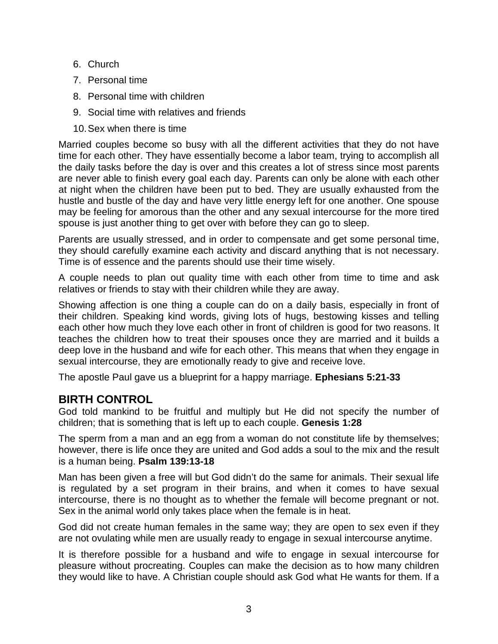- 6. Church
- 7. Personal time
- 8. Personal time with children
- 9. Social time with relatives and friends
- 10.Sex when there is time

Married couples become so busy with all the different activities that they do not have time for each other. They have essentially become a labor team, trying to accomplish all the daily tasks before the day is over and this creates a lot of stress since most parents are never able to finish every goal each day. Parents can only be alone with each other at night when the children have been put to bed. They are usually exhausted from the hustle and bustle of the day and have very little energy left for one another. One spouse may be feeling for amorous than the other and any sexual intercourse for the more tired spouse is just another thing to get over with before they can go to sleep.

Parents are usually stressed, and in order to compensate and get some personal time, they should carefully examine each activity and discard anything that is not necessary. Time is of essence and the parents should use their time wisely.

A couple needs to plan out quality time with each other from time to time and ask relatives or friends to stay with their children while they are away.

Showing affection is one thing a couple can do on a daily basis, especially in front of their children. Speaking kind words, giving lots of hugs, bestowing kisses and telling each other how much they love each other in front of children is good for two reasons. It teaches the children how to treat their spouses once they are married and it builds a deep love in the husband and wife for each other. This means that when they engage in sexual intercourse, they are emotionally ready to give and receive love.

The apostle Paul gave us a blueprint for a happy marriage. **Ephesians 5:21-33**

# **BIRTH CONTROL**

God told mankind to be fruitful and multiply but He did not specify the number of children; that is something that is left up to each couple. **Genesis 1:28**

The sperm from a man and an egg from a woman do not constitute life by themselves; however, there is life once they are united and God adds a soul to the mix and the result is a human being. **Psalm 139:13-18**

Man has been given a free will but God didn't do the same for animals. Their sexual life is regulated by a set program in their brains, and when it comes to have sexual intercourse, there is no thought as to whether the female will become pregnant or not. Sex in the animal world only takes place when the female is in heat.

God did not create human females in the same way; they are open to sex even if they are not ovulating while men are usually ready to engage in sexual intercourse anytime.

It is therefore possible for a husband and wife to engage in sexual intercourse for pleasure without procreating. Couples can make the decision as to how many children they would like to have. A Christian couple should ask God what He wants for them. If a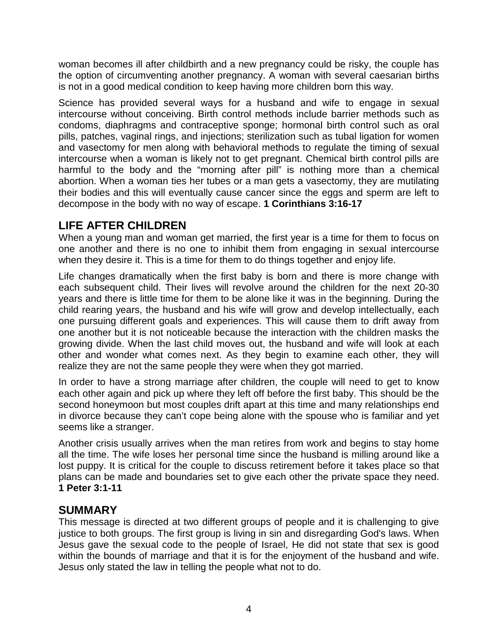woman becomes ill after childbirth and a new pregnancy could be risky, the couple has the option of circumventing another pregnancy. A woman with several caesarian births is not in a good medical condition to keep having more children born this way.

Science has provided several ways for a husband and wife to engage in sexual intercourse without conceiving. Birth control methods include barrier methods such as condoms, diaphragms and contraceptive sponge; hormonal birth control such as oral pills, patches, vaginal rings, and injections; sterilization such as tubal ligation for women and vasectomy for men along with behavioral methods to regulate the timing of sexual intercourse when a woman is likely not to get pregnant. Chemical birth control pills are harmful to the body and the "morning after pill" is nothing more than a chemical abortion. When a woman ties her tubes or a man gets a vasectomy, they are mutilating their bodies and this will eventually cause cancer since the eggs and sperm are left to decompose in the body with no way of escape. **1 Corinthians 3:16-17**

# **LIFE AFTER CHILDREN**

When a young man and woman get married, the first year is a time for them to focus on one another and there is no one to inhibit them from engaging in sexual intercourse when they desire it. This is a time for them to do things together and enjoy life.

Life changes dramatically when the first baby is born and there is more change with each subsequent child. Their lives will revolve around the children for the next 20-30 years and there is little time for them to be alone like it was in the beginning. During the child rearing years, the husband and his wife will grow and develop intellectually, each one pursuing different goals and experiences. This will cause them to drift away from one another but it is not noticeable because the interaction with the children masks the growing divide. When the last child moves out, the husband and wife will look at each other and wonder what comes next. As they begin to examine each other, they will realize they are not the same people they were when they got married.

In order to have a strong marriage after children, the couple will need to get to know each other again and pick up where they left off before the first baby. This should be the second honeymoon but most couples drift apart at this time and many relationships end in divorce because they can't cope being alone with the spouse who is familiar and yet seems like a stranger.

Another crisis usually arrives when the man retires from work and begins to stay home all the time. The wife loses her personal time since the husband is milling around like a lost puppy. It is critical for the couple to discuss retirement before it takes place so that plans can be made and boundaries set to give each other the private space they need. **1 Peter 3:1-11**

### **SUMMARY**

This message is directed at two different groups of people and it is challenging to give justice to both groups. The first group is living in sin and disregarding God's laws. When Jesus gave the sexual code to the people of Israel, He did not state that sex is good within the bounds of marriage and that it is for the enjoyment of the husband and wife. Jesus only stated the law in telling the people what not to do.